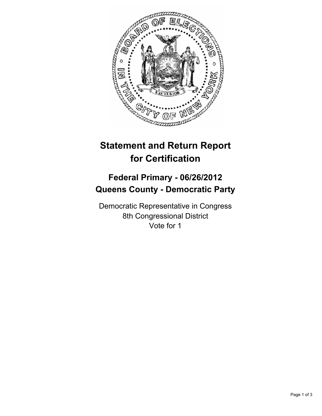

# **Statement and Return Report for Certification**

## **Federal Primary - 06/26/2012 Queens County - Democratic Party**

Democratic Representative in Congress 8th Congressional District Vote for 1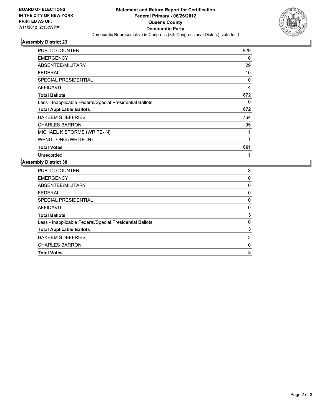

## **Assembly District 23**

| PUBLIC COUNTER                                           | 829          |
|----------------------------------------------------------|--------------|
| <b>EMERGENCY</b>                                         | 0            |
| ABSENTEE/MILITARY                                        | 29           |
| FEDERAL                                                  | 10           |
| <b>SPECIAL PRESIDENTIAL</b>                              | $\Omega$     |
| <b>AFFIDAVIT</b>                                         | 4            |
| <b>Total Ballots</b>                                     | 872          |
| Less - Inapplicable Federal/Special Presidential Ballots | 0            |
| <b>Total Applicable Ballots</b>                          | 872          |
| <b>HAKEEM S JEFFRIES</b>                                 | 764          |
| <b>CHARLES BARRON</b>                                    | 95           |
| MICHAEL K STORMS (WRITE-IN)                              | $\mathbf{1}$ |
| WEND LONG (WRITE-IN)                                     | 1            |
| <b>Total Votes</b>                                       | 861          |
| Unrecorded                                               | 11           |

### **Assembly District 38**

| <b>PUBLIC COUNTER</b>                                    | 3 |
|----------------------------------------------------------|---|
| <b>EMERGENCY</b>                                         | 0 |
| ABSENTEE/MILITARY                                        | 0 |
| <b>FEDERAL</b>                                           | 0 |
| SPECIAL PRESIDENTIAL                                     | 0 |
| AFFIDAVIT                                                | 0 |
| <b>Total Ballots</b>                                     | 3 |
| Less - Inapplicable Federal/Special Presidential Ballots | 0 |
| <b>Total Applicable Ballots</b>                          | 3 |
| <b>HAKEEM S JEFFRIES</b>                                 | 3 |
| <b>CHARLES BARRON</b>                                    | 0 |
|                                                          |   |